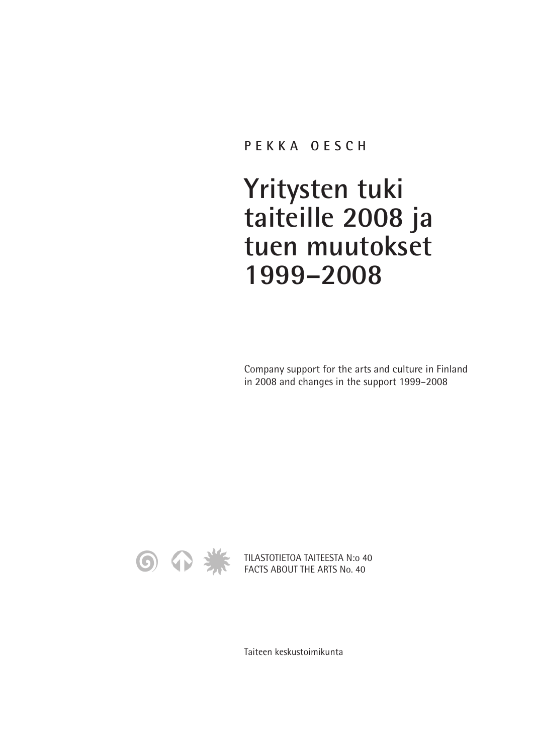## **PEKKA OESCH**

## **Yritysten tuki taiteille 2008 ja tuen muutokset 1999–2008**

Company support for the arts and culture in Finland in 2008 and changes in the support 1999–2008



TILASTOTIETOA TAITEESTA N:o 40 FACTS ABOUT THE ARTS No. 40

Taiteen keskustoimikunta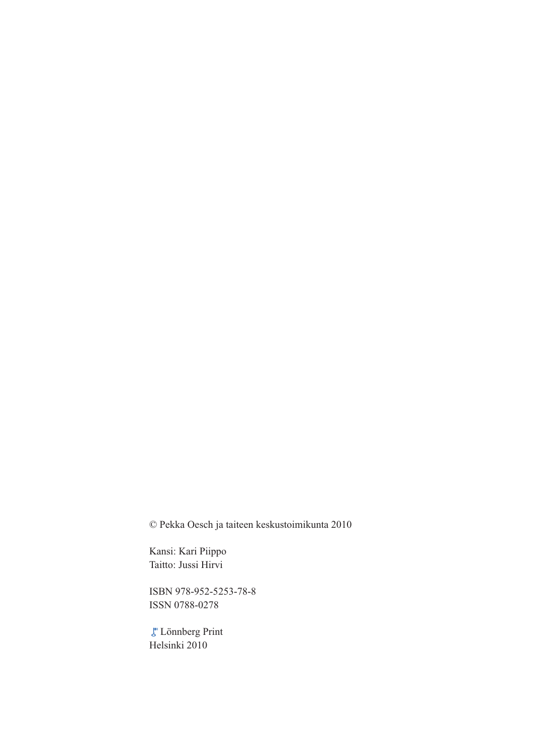© Pekka Oesch ja taiteen keskustoimikunta 2010

Kansi: Kari Piippo Taitto: Jussi Hirvi

ISBN 978-952-5253-78-8 ISSN 0788-0278

Lönnberg Print Helsinki 2010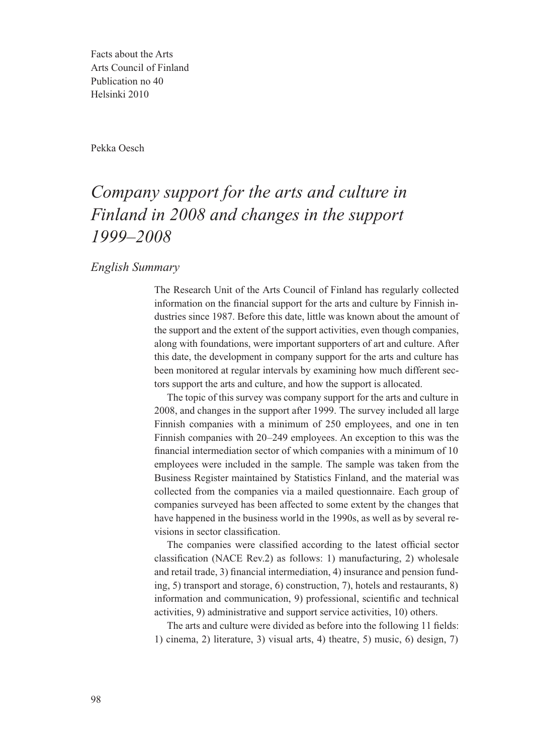Facts about the Arts Arts Council of Finland Publication no 40 Helsinki 2010

Pekka Oesch

## *Company support for the arts and culture in Finland in 2008 and changes in the support 1999–2008*

*English Summary*

The Research Unit of the Arts Council of Finland has regularly collected information on the financial support for the arts and culture by Finnish industries since 1987. Before this date, little was known about the amount of the support and the extent of the support activities, even though companies, along with foundations, were important supporters of art and culture. After this date, the development in company support for the arts and culture has been monitored at regular intervals by examining how much different sectors support the arts and culture, and how the support is allocated.

The topic of this survey was company support for the arts and culture in 2008, and changes in the support after 1999. The survey included all large Finnish companies with a minimum of 250 employees, and one in ten Finnish companies with 20–249 employees. An exception to this was the financial intermediation sector of which companies with a minimum of 10 employees were included in the sample. The sample was taken from the Business Register maintained by Statistics Finland, and the material was collected from the companies via a mailed questionnaire. Each group of companies surveyed has been affected to some extent by the changes that have happened in the business world in the 1990s, as well as by several revisions in sector classification.

The companies were classified according to the latest official sector classification (NACE Rev.2) as follows: 1) manufacturing, 2) wholesale and retail trade, 3) financial intermediation, 4) insurance and pension funding, 5) transport and storage, 6) construction, 7), hotels and restaurants, 8) information and communication, 9) professional, scientific and technical activities, 9) administrative and support service activities, 10) others.

The arts and culture were divided as before into the following 11 fields: 1) cinema, 2) literature, 3) visual arts, 4) theatre, 5) music, 6) design, 7)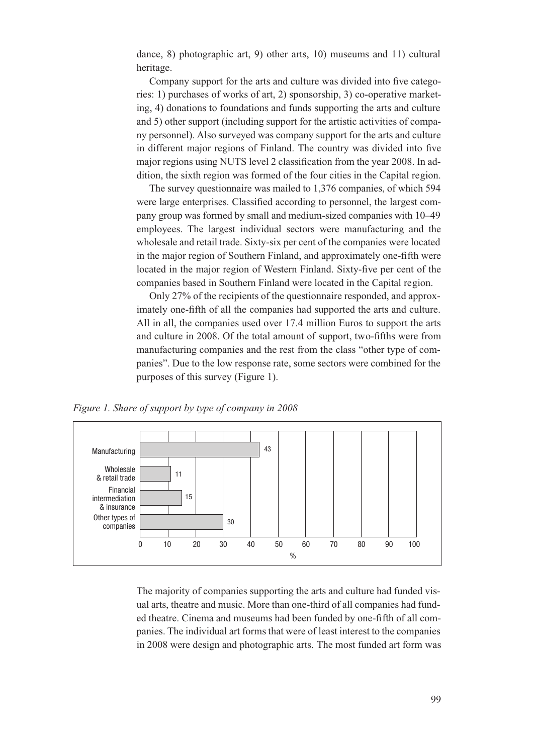dance, 8) photographic art, 9) other arts, 10) museums and 11) cultural heritage.

Company support for the arts and culture was divided into five categories: 1) purchases of works of art, 2) sponsorship, 3) co-operative marketing, 4) donations to foundations and funds supporting the arts and culture and 5) other support (including support for the artistic activities of company personnel). Also surveyed was company support for the arts and culture in different major regions of Finland. The country was divided into five major regions using NUTS level 2 classification from the year 2008. In addition, the sixth region was formed of the four cities in the Capital region.

The survey questionnaire was mailed to 1,376 companies, of which 594 were large enterprises. Classified according to personnel, the largest company group was formed by small and medium-sized companies with 10–49 employees. The largest individual sectors were manufacturing and the wholesale and retail trade. Sixty-six per cent of the companies were located in the major region of Southern Finland, and approximately one-fifth were located in the major region of Western Finland. Sixty-five per cent of the companies based in Southern Finland were located in the Capital region.

Only 27% of the recipients of the questionnaire responded, and approximately one-fifth of all the companies had supported the arts and culture. All in all, the companies used over 17.4 million Euros to support the arts and culture in 2008. Of the total amount of support, two-fifths were from manufacturing companies and the rest from the class "other type of companies". Due to the low response rate, some sectors were combined for the purposes of this survey (Figure 1).

*Figure 1. Share of support by type of company in 2008* 



The majority of companies supporting the arts and culture had funded visual arts, theatre and music. More than one-third of all companies had funded theatre. Cinema and museums had been funded by one-fifth of all companies. The individual art forms that were of least interest to the companies in 2008 were design and photographic arts. The most funded art form was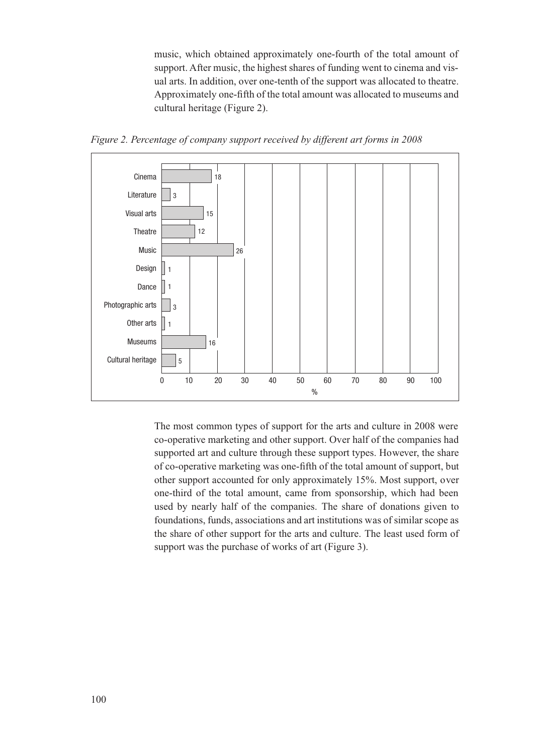music, which obtained approximately one-fourth of the total amount of support. After music, the highest shares of funding went to cinema and visual arts. In addition, over one-tenth of the support was allocated to theatre. Approximately one-fifth of the total amount was allocated to museums and cultural heritage (Figure 2).



*Figure 2. Percentage of company support received by different art forms in 2008* 

The most common types of support for the arts and culture in 2008 were co-operative marketing and other support. Over half of the companies had supported art and culture through these support types. However, the share of co-operative marketing was one-fifth of the total amount of support, but other support accounted for only approximately 15%. Most support, over one-third of the total amount, came from sponsorship, which had been used by nearly half of the companies. The share of donations given to foundations, funds, associations and art institutions was of similar scope as the share of other support for the arts and culture. The least used form of support was the purchase of works of art (Figure 3).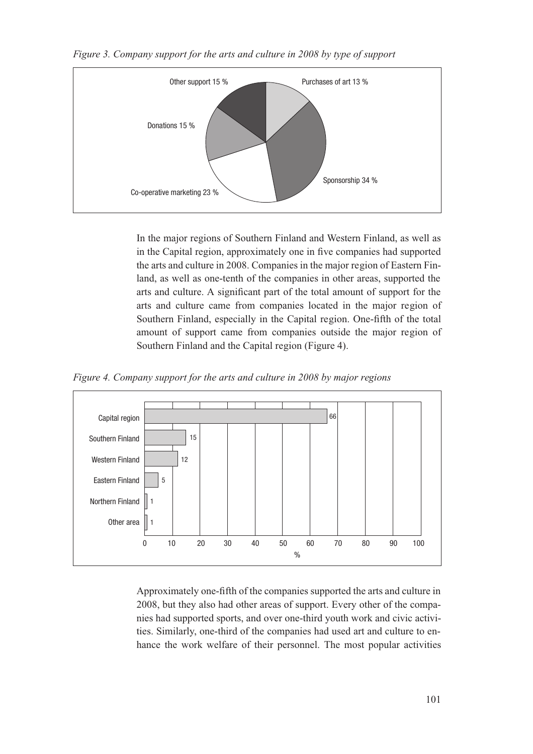

*Figure 3. Company support for the arts and culture in 2008 by type of support* 

In the major regions of Southern Finland and Western Finland, as well as in the Capital region, approximately one in five companies had supported the arts and culture in 2008. Companies in the major region of Eastern Finland, as well as one-tenth of the companies in other areas, supported the arts and culture. A significant part of the total amount of support for the arts and culture came from companies located in the major region of Southern Finland, especially in the Capital region. One-fifth of the total amount of support came from companies outside the major region of Southern Finland and the Capital region (Figure 4).

*Figure 4. Company support for the arts and culture in 2008 by major regions* 



Approximately one-fifth of the companies supported the arts and culture in 2008, but they also had other areas of support. Every other of the companies had supported sports, and over one-third youth work and civic activities. Similarly, one-third of the companies had used art and culture to enhance the work welfare of their personnel. The most popular activities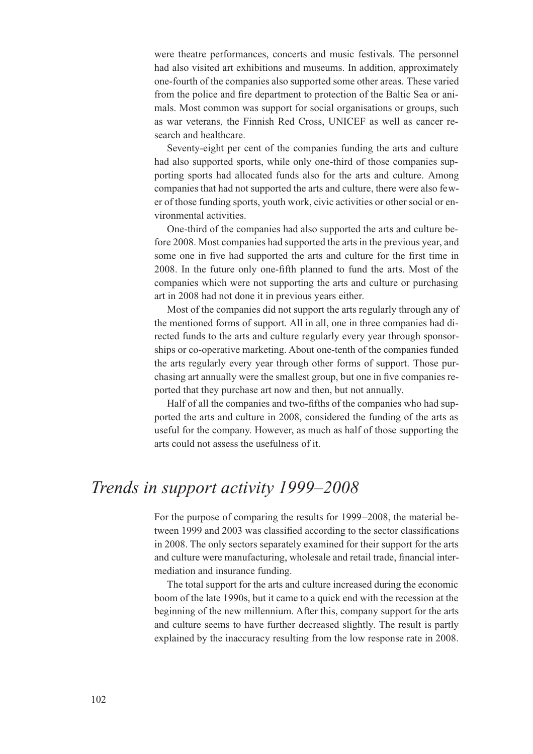were theatre performances, concerts and music festivals. The personnel had also visited art exhibitions and museums. In addition, approximately one-fourth of the companies also supported some other areas. These varied from the police and fire department to protection of the Baltic Sea or animals. Most common was support for social organisations or groups, such as war veterans, the Finnish Red Cross, UNICEF as well as cancer research and healthcare.

Seventy-eight per cent of the companies funding the arts and culture had also supported sports, while only one-third of those companies supporting sports had allocated funds also for the arts and culture. Among companies that had not supported the arts and culture, there were also fewer of those funding sports, youth work, civic activities or other social or environmental activities.

One-third of the companies had also supported the arts and culture before 2008. Most companies had supported the arts in the previous year, and some one in five had supported the arts and culture for the first time in 2008. In the future only one-fifth planned to fund the arts. Most of the companies which were not supporting the arts and culture or purchasing art in 2008 had not done it in previous years either.

Most of the companies did not support the arts regularly through any of the mentioned forms of support. All in all, one in three companies had directed funds to the arts and culture regularly every year through sponsorships or co-operative marketing. About one-tenth of the companies funded the arts regularly every year through other forms of support. Those purchasing art annually were the smallest group, but one in five companies reported that they purchase art now and then, but not annually.

Half of all the companies and two-fifths of the companies who had supported the arts and culture in 2008, considered the funding of the arts as useful for the company. However, as much as half of those supporting the arts could not assess the usefulness of it.

## *Trends in support activity 1999–2008*

For the purpose of comparing the results for 1999–2008, the material between 1999 and 2003 was classified according to the sector classifications in 2008. The only sectors separately examined for their support for the arts and culture were manufacturing, wholesale and retail trade, financial intermediation and insurance funding.

The total support for the arts and culture increased during the economic boom of the late 1990s, but it came to a quick end with the recession at the beginning of the new millennium. After this, company support for the arts and culture seems to have further decreased slightly. The result is partly explained by the inaccuracy resulting from the low response rate in 2008.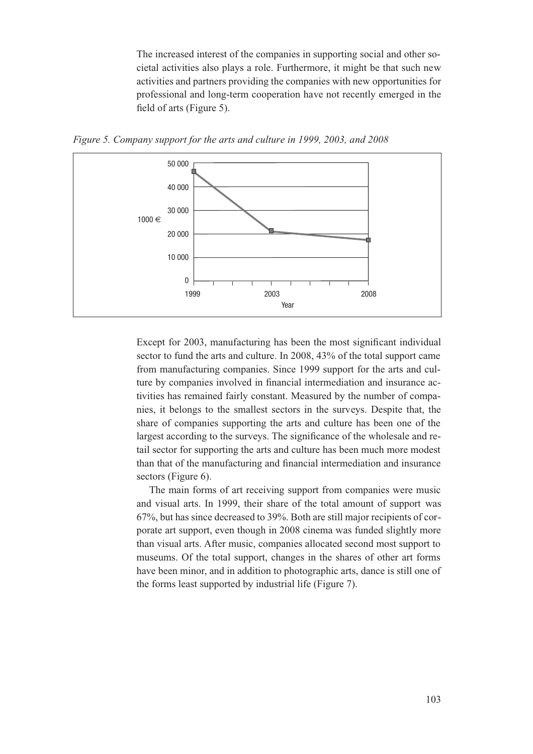The increased interest of the companies in supporting social and other societal activities also plays a role. Furthermore, it might be that such new activities and partners providing the companies with new opportunities for professional and long-term cooperation have not recently emerged in the field of arts (Figure 5).



*Figure 5. Company support for the arts and culture in 1999, 2003, and 2008* 

Except for 2003, manufacturing has been the most significant individual sector to fund the arts and culture. In 2008, 43% of the total support came from manufacturing companies. Since 1999 support for the arts and culture by companies involved in financial intermediation and insurance activities has remained fairly constant. Measured by the number of companies, it belongs to the smallest sectors in the surveys. Despite that, the share of companies supporting the arts and culture has been one of the largest according to the surveys. The significance of the wholesale and retail sector for supporting the arts and culture has been much more modest than that of the manufacturing and financial intermediation and insurance sectors (Figure 6).

The main forms of art receiving support from companies were music and visual arts. In 1999, their share of the total amount of support was 67%, but has since decreased to 39%. Both are still major recipients of corporate art support, even though in 2008 cinema was funded slightly more than visual arts. After music, companies allocated second most support to museums. Of the total support, changes in the shares of other art forms have been minor, and in addition to photographic arts, dance is still one of the forms least supported by industrial life (Figure 7).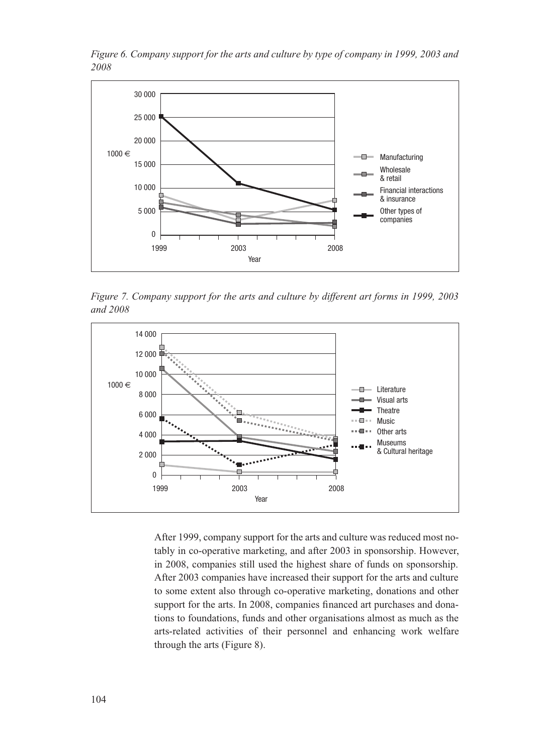

*Figure 6. Company support for the arts and culture by type of company in 1999, 2003 and 2008*

*Figure 7. Company support for the arts and culture by different art forms in 1999, 2003 and 2008* 



After 1999, company support for the arts and culture was reduced most notably in co-operative marketing, and after 2003 in sponsorship. However, in 2008, companies still used the highest share of funds on sponsorship. After 2003 companies have increased their support for the arts and culture to some extent also through co-operative marketing, donations and other support for the arts. In 2008, companies financed art purchases and donations to foundations, funds and other organisations almost as much as the arts-related activities of their personnel and enhancing work welfare through the arts (Figure 8).